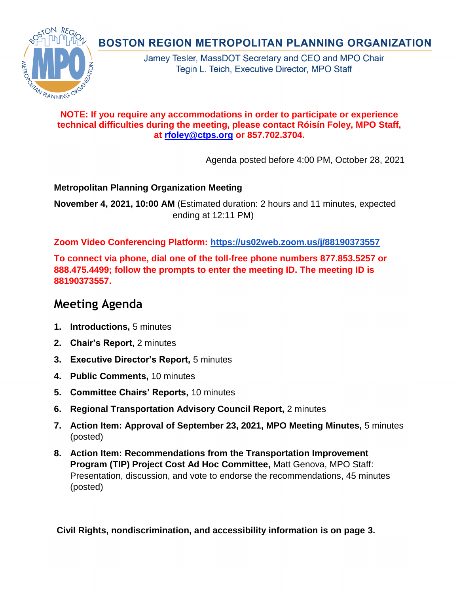## **NOTE: If you require any accommodations in order to participate or experience technical difficulties during the meeting, please contact Róisín Foley, MPO Staff, at [rfoley@ctps.org](mailto:rfoley@ctps.org) or 857.702.3704.**

Agenda posted before 4:00 PM, October 28, 2021

## **Metropolitan Planning Organization Meeting**

**November 4, 2021, 10:00 AM** (Estimated duration: 2 hours and 11 minutes, expected ending at 12:11 PM)

**Zoom Video Conferencing Platform: <https://us02web.zoom.us/j/88190373557>**

**To connect via phone, dial one of the toll-free phone numbers 877.853.5257 or 888.475.4499; follow the prompts to enter the meeting ID. The meeting ID is 88190373557.**

# **Meeting Agenda**

- **1. Introductions,** 5 minutes
- **2. Chair's Report,** 2 minutes
- **3. Executive Director's Report,** 5 minutes
- **4. Public Comments,** 10 minutes
- **5. Committee Chairs' Reports,** 10 minutes
- **6. Regional Transportation Advisory Council Report,** 2 minutes
- **7. Action Item: Approval of September 23, 2021, MPO Meeting Minutes,** 5 minutes (posted)
- **8. Action Item: Recommendations from the Transportation Improvement Program (TIP) Project Cost Ad Hoc Committee,** Matt Genova, MPO Staff: Presentation, discussion, and vote to endorse the recommendations, 45 minutes (posted)

**Civil Rights, nondiscrimination, and accessibility information is on page 3.**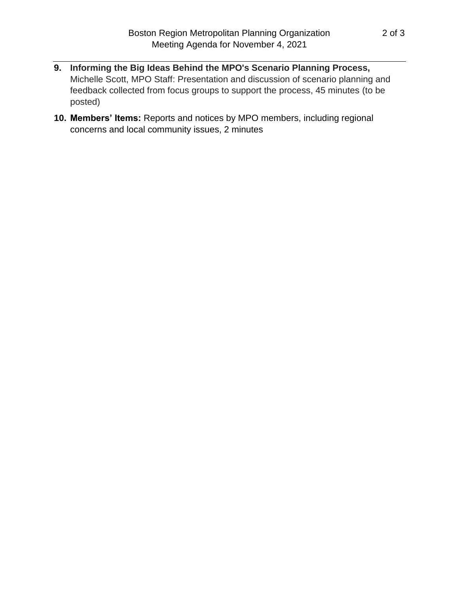- 
- **9. Informing the Big Ideas Behind the MPO's Scenario Planning Process,** Michelle Scott, MPO Staff: Presentation and discussion of scenario planning and feedback collected from focus groups to support the process, 45 minutes (to be posted)
- **10. Members' Items:** Reports and notices by MPO members, including regional concerns and local community issues, 2 minutes